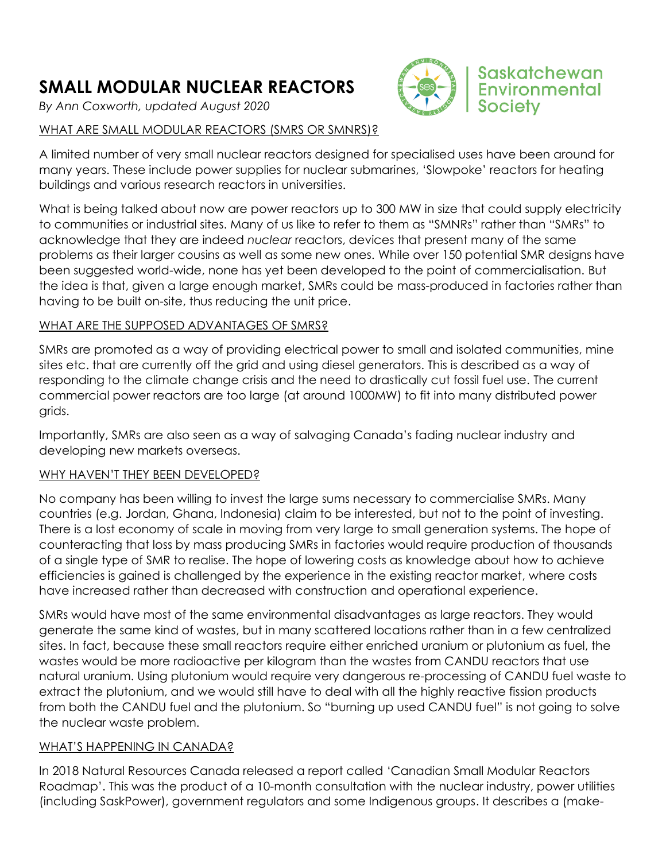# **SMALL MODULAR NUCLEAR REACTORS**

*By Ann Coxworth, updated August 2020*



# WHAT ARE SMALL MODULAR REACTORS (SMRS OR SMNRS)?

A limited number of very small nuclear reactors designed for specialised uses have been around for many years. These include power supplies for nuclear submarines, 'Slowpoke' reactors for heating buildings and various research reactors in universities.

What is being talked about now are power reactors up to 300 MW in size that could supply electricity to communities or industrial sites. Many of us like to refer to them as "SMNRs" rather than "SMRs" to acknowledge that they are indeed *nuclear* reactors, devices that present many of the same problems as their larger cousins as well as some new ones. While over 150 potential SMR designs have been suggested world-wide, none has yet been developed to the point of commercialisation. But the idea is that, given a large enough market, SMRs could be mass-produced in factories rather than having to be built on-site, thus reducing the unit price.

#### WHAT ARE THE SUPPOSED ADVANTAGES OF SMRS?

SMRs are promoted as a way of providing electrical power to small and isolated communities, mine sites etc. that are currently off the grid and using diesel generators. This is described as a way of responding to the climate change crisis and the need to drastically cut fossil fuel use. The current commercial power reactors are too large (at around 1000MW) to fit into many distributed power grids.

Importantly, SMRs are also seen as a way of salvaging Canada's fading nuclear industry and developing new markets overseas.

## WHY HAVEN'T THEY BEEN DEVELOPED?

No company has been willing to invest the large sums necessary to commercialise SMRs. Many countries (e.g. Jordan, Ghana, Indonesia) claim to be interested, but not to the point of investing. There is a lost economy of scale in moving from very large to small generation systems. The hope of counteracting that loss by mass producing SMRs in factories would require production of thousands of a single type of SMR to realise. The hope of lowering costs as knowledge about how to achieve efficiencies is gained is challenged by the experience in the existing reactor market, where costs have increased rather than decreased with construction and operational experience.

SMRs would have most of the same environmental disadvantages as large reactors. They would generate the same kind of wastes, but in many scattered locations rather than in a few centralized sites. In fact, because these small reactors require either enriched uranium or plutonium as fuel, the wastes would be more radioactive per kilogram than the wastes from CANDU reactors that use natural uranium. Using plutonium would require very dangerous re-processing of CANDU fuel waste to extract the plutonium, and we would still have to deal with all the highly reactive fission products from both the CANDU fuel and the plutonium. So "burning up used CANDU fuel" is not going to solve the nuclear waste problem.

## WHAT'S HAPPENING IN CANADA?

In 2018 Natural Resources Canada released a report called 'Canadian Small Modular Reactors Roadmap'. This was the product of a 10-month consultation with the nuclear industry, power utilities (including SaskPower), government regulators and some Indigenous groups. It describes a (make